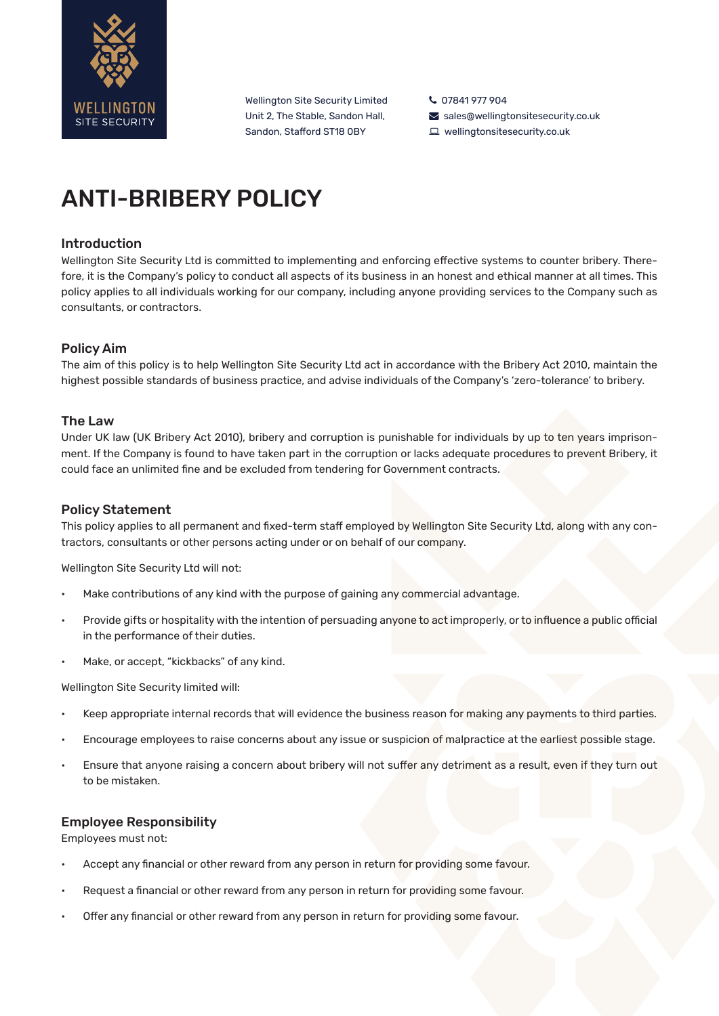

Wellington Site Security Limited Unit 2, The Stable, Sandon Hall, Sandon, Stafford ST18 0BY

L 07841 977 904  $\blacktriangleright$  sales@wellingtonsitesecurity.co.uk wellingtonsitesecurity.co.uk

# ANTI-BRIBERY POLICY

# Introduction

Wellington Site Security Ltd is committed to implementing and enforcing effective systems to counter bribery. Therefore, it is the Company's policy to conduct all aspects of its business in an honest and ethical manner at all times. This policy applies to all individuals working for our company, including anyone providing services to the Company such as consultants, or contractors.

# Policy Aim

The aim of this policy is to help Wellington Site Security Ltd act in accordance with the Bribery Act 2010, maintain the highest possible standards of business practice, and advise individuals of the Company's 'zero-tolerance' to bribery.

# The Law

Under UK law (UK Bribery Act 2010), bribery and corruption is punishable for individuals by up to ten years imprisonment. If the Company is found to have taken part in the corruption or lacks adequate procedures to prevent Bribery, it could face an unlimited fine and be excluded from tendering for Government contracts.

### Policy Statement

This policy applies to all permanent and fixed-term staff employed by Wellington Site Security Ltd, along with any contractors, consultants or other persons acting under or on behalf of our company.

Wellington Site Security Ltd will not:

- Make contributions of any kind with the purpose of gaining any commercial advantage.
- Provide gifts or hospitality with the intention of persuading anyone to act improperly, or to influence a public official in the performance of their duties.
- Make, or accept, "kickbacks" of any kind.

Wellington Site Security limited will:

- Keep appropriate internal records that will evidence the business reason for making any payments to third parties.
- Encourage employees to raise concerns about any issue or suspicion of malpractice at the earliest possible stage.
- Ensure that anyone raising a concern about bribery will not suffer any detriment as a result, even if they turn out to be mistaken.

#### Employee Responsibility

Employees must not:

- Accept any financial or other reward from any person in return for providing some favour.
- Request a financial or other reward from any person in return for providing some favour.
- Offer any financial or other reward from any person in return for providing some favour.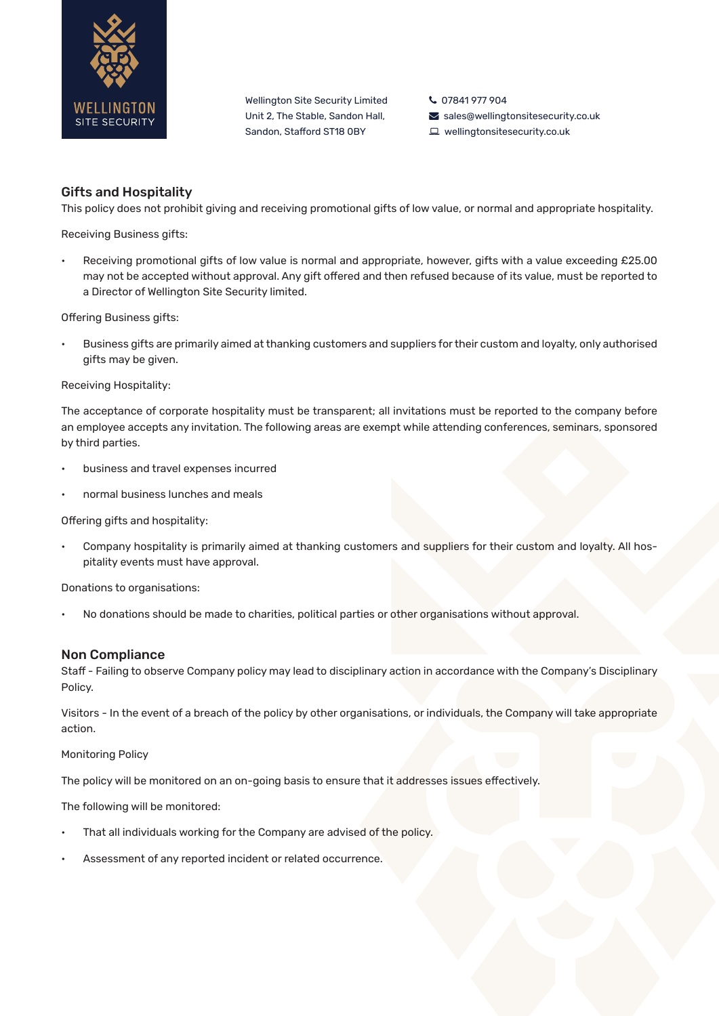

Wellington Site Security Limited Unit 2, The Stable, Sandon Hall, Sandon, Stafford ST18 0BY

07841 977 904

- $\blacktriangleright$  sales@wellingtonsitesecurity.co.uk
- wellingtonsitesecurity.co.uk

# Gifts and Hospitality

This policy does not prohibit giving and receiving promotional gifts of low value, or normal and appropriate hospitality.

Receiving Business gifts:

• Receiving promotional gifts of low value is normal and appropriate, however, gifts with a value exceeding £25.00 may not be accepted without approval. Any gift offered and then refused because of its value, must be reported to a Director of Wellington Site Security limited.

Offering Business gifts:

• Business gifts are primarily aimed at thanking customers and suppliers for their custom and loyalty, only authorised gifts may be given.

#### Receiving Hospitality:

The acceptance of corporate hospitality must be transparent; all invitations must be reported to the company before an employee accepts any invitation. The following areas are exempt while attending conferences, seminars, sponsored by third parties.

- business and travel expenses incurred
- normal business lunches and meals

Offering gifts and hospitality:

• Company hospitality is primarily aimed at thanking customers and suppliers for their custom and loyalty. All hospitality events must have approval.

Donations to organisations:

• No donations should be made to charities, political parties or other organisations without approval.

# Non Compliance

Staff - Failing to observe Company policy may lead to disciplinary action in accordance with the Company's Disciplinary Policy.

Visitors - In the event of a breach of the policy by other organisations, or individuals, the Company will take appropriate action.

Monitoring Policy

The policy will be monitored on an on-going basis to ensure that it addresses issues effectively.

The following will be monitored:

- That all individuals working for the Company are advised of the policy.
- Assessment of any reported incident or related occurrence.